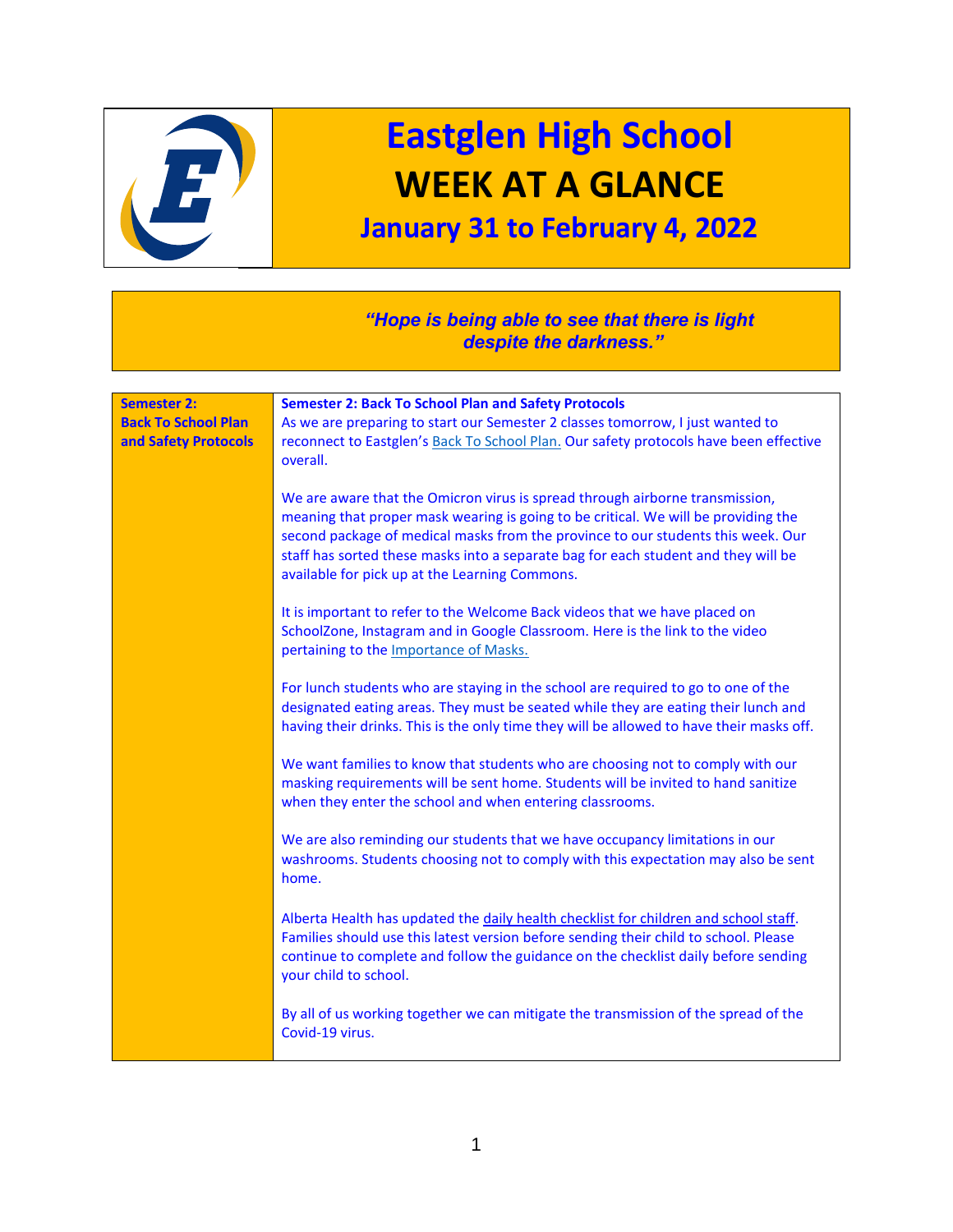

## **Eastglen High School WEEK AT A GLANCE**

## **January 31 to February 4, 2022**

## *"Hope is being able to see that there is light despite the darkness."*

| <b>Semester 2:</b>         |                                                                                                                                                                                                                                                                                                                                                                                                |
|----------------------------|------------------------------------------------------------------------------------------------------------------------------------------------------------------------------------------------------------------------------------------------------------------------------------------------------------------------------------------------------------------------------------------------|
| <b>Back To School Plan</b> | <b>Semester 2: Back To School Plan and Safety Protocols</b><br>As we are preparing to start our Semester 2 classes tomorrow, I just wanted to                                                                                                                                                                                                                                                  |
| and Safety Protocols       | reconnect to Eastglen's Back To School Plan. Our safety protocols have been effective<br>overall.                                                                                                                                                                                                                                                                                              |
|                            | We are aware that the Omicron virus is spread through airborne transmission,<br>meaning that proper mask wearing is going to be critical. We will be providing the<br>second package of medical masks from the province to our students this week. Our<br>staff has sorted these masks into a separate bag for each student and they will be<br>available for pick up at the Learning Commons. |
|                            | It is important to refer to the Welcome Back videos that we have placed on<br>SchoolZone, Instagram and in Google Classroom. Here is the link to the video<br>pertaining to the Importance of Masks.                                                                                                                                                                                           |
|                            | For lunch students who are staying in the school are required to go to one of the<br>designated eating areas. They must be seated while they are eating their lunch and<br>having their drinks. This is the only time they will be allowed to have their masks off.                                                                                                                            |
|                            | We want families to know that students who are choosing not to comply with our<br>masking requirements will be sent home. Students will be invited to hand sanitize<br>when they enter the school and when entering classrooms.                                                                                                                                                                |
|                            | We are also reminding our students that we have occupancy limitations in our<br>washrooms. Students choosing not to comply with this expectation may also be sent<br>home.                                                                                                                                                                                                                     |
|                            | Alberta Health has updated the daily health checklist for children and school staff.<br>Families should use this latest version before sending their child to school. Please<br>continue to complete and follow the guidance on the checklist daily before sending<br>your child to school.                                                                                                    |
|                            | By all of us working together we can mitigate the transmission of the spread of the<br>Covid-19 virus.                                                                                                                                                                                                                                                                                         |